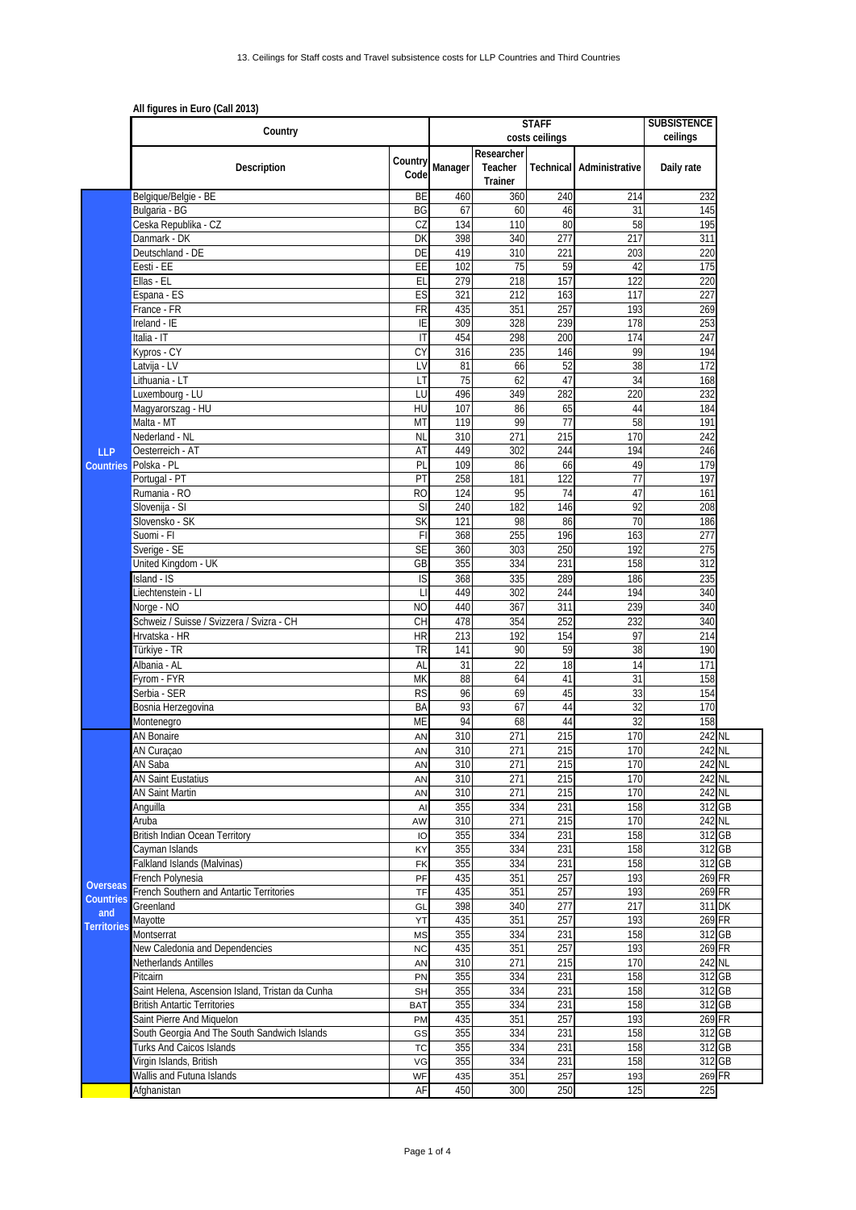|                           | All figures in Euro (Call 2013)<br>Country                   |                 |            | <b>STAFF</b><br>costs ceilings   | <b>SUBSISTENCE</b><br>ceilings |                |                  |  |
|---------------------------|--------------------------------------------------------------|-----------------|------------|----------------------------------|--------------------------------|----------------|------------------|--|
|                           | Description                                                  | Country<br>Code | Manager    | Researcher<br>Teacher<br>Trainer | Technical                      | Administrative | Daily rate       |  |
|                           | Belgique/Belgie - BE                                         | BE              | 460        | 360                              | 240                            | 214            | 232              |  |
|                           | Bulgaria - BG                                                | BG              | 67         | 60                               | 46                             | 31             | 145              |  |
|                           | Ceska Republika - CZ<br>Danmark - DK                         | CZ<br>DK        | 134<br>398 | 110<br>340                       | 80<br>277                      | 58<br>217      | 195<br>311       |  |
|                           | Deutschland - DE                                             | DE              | 419        | 310                              | 221                            | 203            | 220              |  |
|                           | Eesti - EE                                                   | EE              | 102        | 75                               | 59                             | 42             | 175              |  |
|                           | Ellas - EL                                                   | EL              | 279        | 218                              | 157                            | 122            | 220              |  |
|                           | Espana - ES                                                  | ES              | 321        | 212                              | 163                            | 117            | 227              |  |
|                           | France - FR                                                  | FR              | 435        | 351                              | 257                            | 193            | 269              |  |
|                           | Ireland - IE                                                 | IE              | 309        | 328                              | 239                            | 178            | 253              |  |
|                           | Italia - IT                                                  | $\overline{1}$  | 454        | 298                              | 200                            | 174            | 247              |  |
|                           | Kypros - CY                                                  | CY              | 316        | 235                              | 146                            | 99             | 194              |  |
|                           | Latvija - LV<br>Lithuania - LT                               | LV<br>LT        | 81<br>75   | 66<br>62                         | 52<br>47                       | 38<br>34       | 172<br>168       |  |
|                           | Luxembourg - LU                                              | LU              | 496        | 349                              | 282                            | 220            | 232              |  |
|                           | Magyarorszag - HU                                            | HU              | 107        | 86                               | 65                             | 44             | 184              |  |
|                           | Malta - MT                                                   | MT              | 119        | 99                               | $\overline{77}$                | 58             | 191              |  |
|                           | Nederland - NL                                               | <b>NL</b>       | 310        | 271                              | 215                            | 170            | 242              |  |
| <b>LLP</b>                | Oesterreich - AT                                             | AT              | 449        | 302                              | 244                            | 194            | 246              |  |
|                           | Countries Polska - PL                                        | PL              | 109        | 86                               | 66                             | 49             | 179              |  |
|                           | Portugal - PT                                                | PT              | 258        | 181                              | 122                            | 77             | 197              |  |
|                           | Rumania - RO                                                 | R <sub>O</sub>  | 124        | 95                               | 74                             | 47             | 161              |  |
|                           | Slovenija - SI<br>Slovensko - SK                             | SI<br><b>SK</b> | 240<br>121 | 182<br>98                        | 146                            | 92             | 208              |  |
|                           | Suomi - Fl                                                   | F               | 368        | 255                              | 86<br>196                      | 70<br>163      | 186<br>277       |  |
|                           | Sverige - SE                                                 | <b>SE</b>       | 360        | 303                              | 250                            | 192            | 275              |  |
|                           | United Kingdom - UK                                          | GB              | 355        | 334                              | 231                            | 158            | 312              |  |
|                           | Island - IS                                                  | IS              | 368        | 335                              | 289                            | 186            | 235              |  |
|                           | Liechtenstein - Ll                                           | П               | 449        | 302                              | 244                            | 194            | 340              |  |
|                           | Norge - NO                                                   | <b>NO</b>       | 440        | 367                              | 311                            | 239            | 340              |  |
|                           | Schweiz / Suisse / Svizzera / Svizra - CH                    | <b>CH</b>       | 478        | 354                              | 252                            | 232            | 340              |  |
|                           | Hrvatska - HR                                                | <b>HR</b>       | 213        | 192                              | 154                            | 97             | 214              |  |
|                           | Türkiye - TR                                                 | TR              | 141        | 90                               | 59                             | 38             | 190              |  |
|                           | Albania - AL<br>Fvrom - FYR                                  | AL              | 31         | 22                               | 18                             | 14             | 171              |  |
|                           | Serbia - SER                                                 | MK<br><b>RS</b> | 88<br>96   | 64<br>69                         | 41<br>45                       | 31<br>33       | 158<br>154       |  |
|                           | Bosnia Herzegovina                                           | BA              | 93         | 67                               | 44                             | 32             | 170              |  |
|                           | Montenegro                                                   | ME              | 94         | 68                               | 44                             | 32             | 158              |  |
|                           | AN Bonaire                                                   | AN              | 310        | 271                              | 215                            | 170            | 242 NL           |  |
|                           | AN Curaçao                                                   | AN              | 310        | 271                              | 215                            | 170            | 242 NL           |  |
|                           | AN Saba                                                      | AN              | 310        | 271                              | 215                            | 170            | 242 NL           |  |
|                           | AN Saint Eustatius                                           | AN              | 310        | 271                              | 215                            | 170            | 242 NL           |  |
|                           | <b>AN Saint Martin</b>                                       | AN              | 310        | 271                              | 215                            | 170            | 242 NL           |  |
|                           | Anguilla                                                     | AI              | 355        | 334                              | 231                            | 158            | 312 GB           |  |
|                           | Aruba<br><b>British Indian Ocean Territory</b>               | AW<br>IO        | 310<br>355 | 271<br>334                       | 215<br>231                     | 170<br>158     | 242 NL<br>312 GB |  |
|                           | Cayman Islands                                               | KY              | 355        | 334                              | 231                            | 158            | 312 GB           |  |
|                           | Falkland Islands (Malvinas)                                  | FK              | 355        | 334                              | 231                            | 158            | 312 GB           |  |
|                           | French Polynesia                                             | PF              | 435        | 351                              | 257                            | 193            | 269 FR           |  |
| <b>Overseas</b>           | French Southern and Antartic Territories                     | TF              | 435        | 351                              | 257                            | 193            | 269 FR           |  |
| Countries                 | Greenland                                                    | GL              | 398        | 340                              | 277                            | 217            | 311 DK           |  |
| and<br><b>Territories</b> | Mayotte                                                      | YT              | 435        | 351                              | 257                            | 193            | 269 FR           |  |
|                           | Montserrat                                                   | <b>MS</b>       | 355        | 334                              | 231                            | 158            | 312 GB           |  |
|                           | New Caledonia and Dependencies                               | <b>NC</b>       | 435        | 351                              | 257                            | 193            | 269 FR           |  |
|                           | Netherlands Antilles                                         | AN              | 310<br>355 | 271                              | 215                            | 170            | 242 NL           |  |
|                           | Pitcairn<br>Saint Helena, Ascension Island, Tristan da Cunha | PN<br><b>SH</b> | 355        | 334<br>334                       | 231<br>231                     | 158<br>158     | 312 GB<br>312 GB |  |
|                           | <b>British Antartic Territories</b>                          | <b>BAT</b>      | 355        | 334                              | 231                            | 158            | 312 GB           |  |
|                           | Saint Pierre And Miquelon                                    | PM              | 435        | 351                              | 257                            | 193            | 269 FR           |  |
|                           | South Georgia And The South Sandwich Islands                 | GS              | 355        | 334                              | 231                            | 158            | 312 GB           |  |
|                           | Turks And Caicos Islands                                     | <b>TC</b>       | 355        | 334                              | 231                            | 158            | 312 GB           |  |
|                           | Virgin Islands, British                                      | VG              | 355        | 334                              | 231                            | 158            | 312 GB           |  |
|                           | Wallis and Futuna Islands                                    | WF              | 435        | 351                              | 257                            | 193            | 269 FR           |  |
|                           | Afghanistan                                                  | AF              | 450        | 300                              | 250                            | 125            | 225              |  |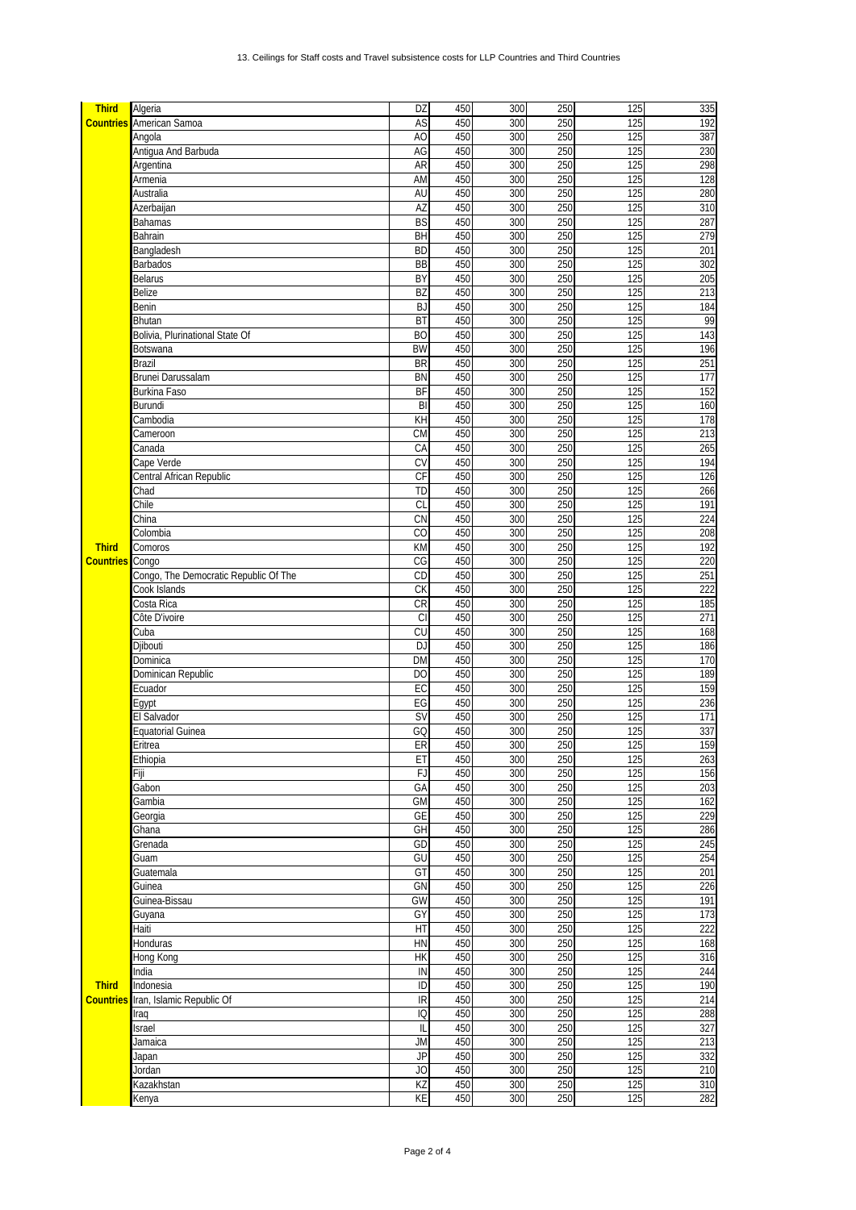| <b>Third</b>     | Algeria                               | DZ              | 450 | 300 | 250 | 125 | 335 |
|------------------|---------------------------------------|-----------------|-----|-----|-----|-----|-----|
|                  | <b>Countries</b> American Samoa       | AS              | 450 | 300 | 250 | 125 | 192 |
|                  | Angola                                | A <sub>O</sub>  | 450 | 300 | 250 | 125 | 387 |
|                  | Antigua And Barbuda                   | AG              | 450 | 300 | 250 | 125 | 230 |
|                  | Argentina                             | AR              | 450 | 300 | 250 | 125 | 298 |
|                  | Armenia                               | AM              | 450 | 300 | 250 | 125 | 128 |
|                  | Australia                             | AU              | 450 | 300 | 250 | 125 | 280 |
|                  | Azerbaijan                            | AZ              | 450 | 300 | 250 | 125 | 310 |
|                  | <b>Bahamas</b>                        | <b>BS</b>       | 450 | 300 | 250 | 125 | 287 |
|                  | Bahrain                               | BH              | 450 | 300 | 250 | 125 | 279 |
|                  | Bangladesh                            | <b>BD</b>       | 450 | 300 | 250 | 125 | 201 |
|                  | Barbados                              | $\overline{BB}$ | 450 | 300 | 250 | 125 | 302 |
|                  | <b>Belarus</b>                        | BY              | 450 | 300 | 250 | 125 | 205 |
|                  |                                       |                 |     |     |     |     |     |
|                  | Belize                                | <b>BZ</b>       | 450 | 300 | 250 | 125 | 213 |
|                  | Benin                                 | <b>BJ</b>       | 450 | 300 | 250 | 125 | 184 |
|                  | <b>Bhutan</b>                         | BT              | 450 | 300 | 250 | 125 | 99  |
|                  | Bolivia, Plurinational State Of       | <b>BO</b>       | 450 | 300 | 250 | 125 | 143 |
|                  | Botswana                              | <b>BW</b>       | 450 | 300 | 250 | 125 | 196 |
|                  | <b>Brazil</b>                         | <b>BR</b>       | 450 | 300 | 250 | 125 | 251 |
|                  | Brunei Darussalam                     | <b>BN</b>       | 450 | 300 | 250 | 125 | 177 |
|                  | Burkina Faso                          | BF              | 450 | 300 | 250 | 125 | 152 |
|                  | Burundi                               | B               | 450 | 300 | 250 | 125 | 160 |
|                  | Cambodia                              | KH              | 450 | 300 | 250 | 125 | 178 |
|                  | Cameroon                              | <b>CM</b>       | 450 | 300 | 250 | 125 | 213 |
|                  | Canada                                | CA              | 450 | 300 | 250 | 125 | 265 |
|                  | Cape Verde                            | CV              | 450 | 300 | 250 | 125 | 194 |
|                  | Central African Republic              | CF              | 450 | 300 | 250 | 125 | 126 |
|                  | Chad                                  | <b>TD</b>       | 450 | 300 | 250 | 125 | 266 |
|                  | Chile                                 | CL              | 450 | 300 | 250 | 125 | 191 |
|                  |                                       | CN              | 450 | 300 | 250 | 125 | 224 |
|                  | China                                 |                 |     |     |     |     |     |
|                  | Colombia                              | CO              | 450 | 300 | 250 | 125 | 208 |
| <b>Third</b>     | Comoros                               | KM              | 450 | 300 | 250 | 125 | 192 |
| <b>Countries</b> | Congo                                 | CG              | 450 | 300 | 250 | 125 | 220 |
|                  | Congo, The Democratic Republic Of The | CD              | 450 | 300 | 250 | 125 | 251 |
|                  | Cook Islands                          | CK              | 450 | 300 | 250 | 125 | 222 |
|                  | Costa Rica                            | <b>CR</b>       | 450 | 300 | 250 | 125 | 185 |
|                  | Côte D'ivoire                         | <b>CI</b>       | 450 | 300 | 250 | 125 | 271 |
|                  | Cuba                                  | CU              | 450 | 300 | 250 | 125 | 168 |
|                  | Djibouti                              | <b>DJ</b>       | 450 | 300 | 250 | 125 | 186 |
|                  | Dominica                              | <b>DM</b>       | 450 | 300 | 250 | 125 | 170 |
|                  | Dominican Republic                    | D <sub>O</sub>  | 450 | 300 | 250 | 125 | 189 |
|                  | Ecuador                               | EC              | 450 | 300 | 250 | 125 | 159 |
|                  | Egypt                                 | EG              | 450 | 300 | 250 | 125 | 236 |
|                  | El Salvador                           | <b>SV</b>       | 450 | 300 | 250 | 125 | 171 |
|                  | <b>Equatorial Guinea</b>              | GQ              | 450 | 300 | 250 | 125 | 337 |
|                  |                                       |                 |     |     |     |     |     |
|                  | Eritrea                               | ER              | 450 | 300 | 250 | 125 | 159 |
|                  | Ethiopia                              | ET              | 450 | 300 | 250 | 125 | 263 |
|                  | Fiji                                  | FJ              | 450 | 300 | 250 | 125 | 156 |
|                  | Gabon                                 | GA              | 450 | 300 | 250 | 125 | 203 |
|                  | Gambia                                | <b>GM</b>       | 450 | 300 | 250 | 125 | 162 |
|                  | Georgia                               | GE              | 450 | 300 | 250 | 125 | 229 |
|                  | Ghana                                 | GH              | 450 | 300 | 250 | 125 | 286 |
|                  | Grenada                               | GD              | 450 | 300 | 250 | 125 | 245 |
|                  | Guam                                  | GU              | 450 | 300 | 250 | 125 | 254 |
|                  | Guatemala                             | GT              | 450 | 300 | 250 | 125 | 201 |
|                  | Guinea                                | GN              | 450 | 300 | 250 | 125 | 226 |
|                  | Guinea-Bissau                         | <b>GW</b>       | 450 | 300 | 250 | 125 | 191 |
|                  | Guyana                                | GY              | 450 | 300 | 250 | 125 | 173 |
|                  | Haiti                                 | HT              | 450 | 300 | 250 | 125 | 222 |
|                  | Honduras                              | HN              | 450 | 300 | 250 | 125 | 168 |
|                  | Hong Kong                             | HK              | 450 | 300 | 250 | 125 | 316 |
|                  | India                                 | IN              | 450 | 300 | 250 | 125 | 244 |
|                  |                                       |                 |     |     |     |     |     |
| <b>Third</b>     | Indonesia                             | ID              | 450 | 300 | 250 | 125 | 190 |
| <b>Countries</b> | Iran, Islamic Republic Of             | IR              | 450 | 300 | 250 | 125 | 214 |
|                  | Iraq                                  | IQ              | 450 | 300 | 250 | 125 | 288 |
|                  | Israel                                | IL              | 450 | 300 | 250 | 125 | 327 |
|                  | Jamaica                               | JM              | 450 | 300 | 250 | 125 | 213 |
|                  | Japan                                 | <b>JP</b>       | 450 | 300 | 250 | 125 | 332 |
|                  | Jordan                                | JO              | 450 | 300 | 250 | 125 | 210 |
|                  | Kazakhstan                            | KZ              | 450 | 300 | 250 | 125 | 310 |
|                  | Kenya                                 | KE              | 450 | 300 | 250 | 125 | 282 |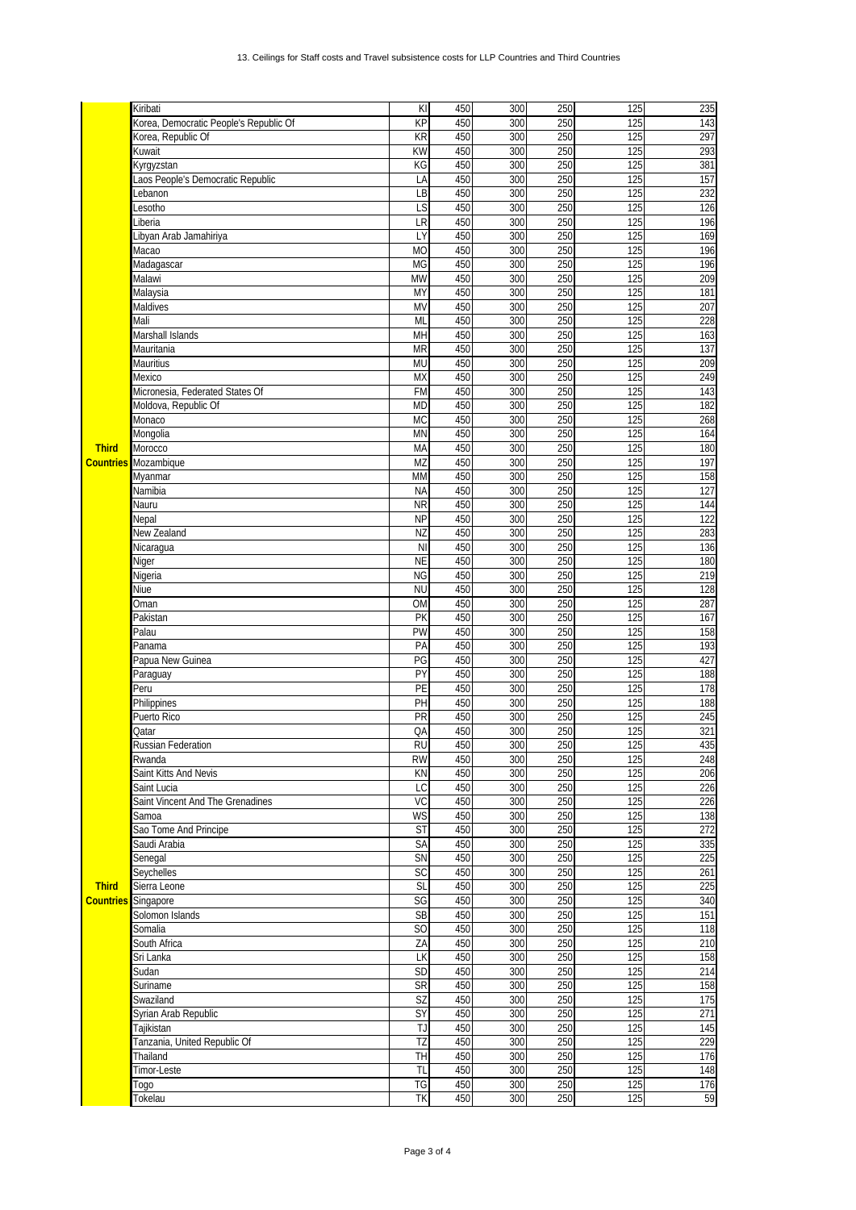|                  | Kiribati                               | KI                   | 450 | 300 | 250 | 125              | 235 |
|------------------|----------------------------------------|----------------------|-----|-----|-----|------------------|-----|
|                  | Korea, Democratic People's Republic Of | KP                   | 450 | 300 | 250 | 125              | 143 |
|                  | Korea, Republic Of                     | KR                   | 450 | 300 | 250 | 125              | 297 |
|                  | Kuwait                                 | <b>KW</b>            | 450 | 300 | 250 | 125              | 293 |
|                  | Kyrgyzstan                             | KG                   | 450 | 300 | 250 | 125              | 381 |
|                  | Laos People's Democratic Republic      | LA                   | 450 | 300 | 250 | 125              | 157 |
|                  | Lebanon                                | LB                   | 450 | 300 | 250 | 125              | 232 |
|                  | Lesotho                                | LS                   | 450 | 300 | 250 | 125              | 126 |
|                  | _iberia                                | LR                   | 450 | 300 | 250 | 125              | 196 |
|                  |                                        |                      |     |     |     |                  |     |
|                  | Libyan Arab Jamahiriya                 | LY                   | 450 | 300 | 250 | 125              | 169 |
|                  | Масао                                  | <b>MO</b>            | 450 | 300 | 250 | 125              | 196 |
|                  | Madagascar                             | MG                   | 450 | 300 | 250 | 125              | 196 |
|                  | Malawi                                 | <b>MW</b>            | 450 | 300 | 250 | 125              | 209 |
|                  | Malaysia                               | MY                   | 450 | 300 | 250 | 125              | 181 |
|                  | Maldives                               | MV                   | 450 | 300 | 250 | 125              | 207 |
|                  | Mali                                   | ML                   | 450 | 300 | 250 | 125              | 228 |
|                  | Marshall Islands                       | MH                   | 450 | 300 | 250 | 125              | 163 |
|                  | Mauritania                             | <b>MR</b>            | 450 | 300 | 250 | 125              | 137 |
|                  | Mauritius                              | MU                   | 450 | 300 | 250 | 125              | 209 |
|                  | Mexico                                 | <b>MX</b>            | 450 | 300 | 250 | 125              | 249 |
|                  | Micronesia, Federated States Of        | <b>FM</b>            | 450 | 300 | 250 | 125              | 143 |
|                  | Moldova, Republic Of                   | <b>MD</b>            | 450 | 300 | 250 | 125              | 182 |
|                  | Monaco                                 | MC                   | 450 | 300 | 250 | 125              | 268 |
|                  | Mongolia                               | <b>MN</b>            | 450 | 300 | 250 | 125              | 164 |
| <b>Third</b>     | Morocco                                | MA                   | 450 | 300 | 250 | 125              | 180 |
|                  | <b>Countries</b> Mozambique            | MZ                   | 450 | 300 | 250 | 125              | 197 |
|                  | Myanmar                                | MM                   | 450 | 300 | 250 | 125              | 158 |
|                  | Namibia                                | <b>NA</b>            | 450 | 300 | 250 | 125              | 127 |
|                  |                                        |                      | 450 |     | 250 | 125              |     |
|                  | Nauru                                  | <b>NR</b>            |     | 300 |     |                  | 144 |
|                  | Nepal                                  | <b>NP</b>            | 450 | 300 | 250 | 125              | 122 |
|                  | New Zealand                            | NZ                   | 450 | 300 | 250 | 125              | 283 |
|                  | Nicaragua                              | <b>NI</b>            | 450 | 300 | 250 | 125              | 136 |
|                  | Niger                                  | <b>NE</b>            | 450 | 300 | 250 | 125              | 180 |
|                  | Nigeria                                | <b>NG</b>            | 450 | 300 | 250 | 125              | 219 |
|                  | Niue                                   | <b>NU</b>            | 450 | 300 | 250 | 125              | 128 |
|                  | Oman                                   | <b>OM</b>            | 450 | 300 | 250 | 125              | 287 |
|                  | Pakistan                               | PK                   | 450 | 300 | 250 | 125              | 167 |
|                  | Palau                                  | PW                   | 450 | 300 | 250 | 125              | 158 |
|                  | Panama                                 | PA                   | 450 | 300 | 250 | 125              | 193 |
|                  | Papua New Guinea                       | PG                   | 450 | 300 | 250 | 125              | 427 |
|                  | Paraguay                               | PY                   | 450 | 300 | 250 | 125              | 188 |
|                  | Peru                                   | PE                   | 450 | 300 | 250 | 125              | 178 |
|                  | Philippines                            | PH                   | 450 | 300 | 250 | 125              | 188 |
|                  | Puerto Rico                            | PR                   | 450 | 300 | 250 | 125              | 245 |
|                  | Qatar                                  | QA                   | 450 | 300 | 250 | $\overline{125}$ | 321 |
|                  | <b>Russian Federation</b>              | <b>RU</b>            | 450 | 300 | 250 | 125              | 435 |
|                  |                                        |                      |     |     |     |                  |     |
|                  | Rwanda                                 | <b>RW</b>            | 450 | 300 | 250 | 125              | 248 |
|                  | Saint Kitts And Nevis                  | KN                   | 450 | 300 | 250 | 125              | 206 |
|                  | Saint Lucia                            | LC                   | 450 | 300 | 250 | 125              | 226 |
|                  | Saint Vincent And The Grenadines       | VC                   | 450 | 300 | 250 | 125              | 226 |
|                  | Samoa                                  | WS                   | 450 | 300 | 250 | 125              | 138 |
|                  | Sao Tome And Principe                  | <b>ST</b>            | 450 | 300 | 250 | 125              | 272 |
|                  | Saudi Arabia                           | SA                   | 450 | 300 | 250 | 125              | 335 |
|                  | Senegal                                | SN                   | 450 | 300 | 250 | 125              | 225 |
|                  | Seychelles                             | SC                   | 450 | 300 | 250 | 125              | 261 |
| <b>Third</b>     | Sierra Leone                           | SL                   | 450 | 300 | 250 | 125              | 225 |
| <b>Countries</b> | Singapore                              | SG                   | 450 | 300 | 250 | 125              | 340 |
|                  | Solomon Islands                        | $\mathsf{SB}\xspace$ | 450 | 300 | 250 | 125              | 151 |
|                  | Somalia                                | S <sub>O</sub>       | 450 | 300 | 250 | 125              | 118 |
|                  | South Africa                           | ZΑ                   | 450 | 300 | 250 | 125              | 210 |
|                  | Sri Lanka                              | LK                   | 450 | 300 | 250 | 125              | 158 |
|                  | Sudan                                  | SD                   | 450 | 300 | 250 | 125              | 214 |
|                  |                                        | <b>SR</b>            | 450 | 300 | 250 | 125              | 158 |
|                  | Suriname                               | <b>SZ</b>            | 450 | 300 | 250 |                  | 175 |
|                  | Swaziland                              |                      |     |     |     | 125              | 271 |
|                  | Syrian Arab Republic                   | $\overline{SY}$      | 450 | 300 | 250 | 125              |     |
|                  | Tajikistan                             | TJ                   | 450 | 300 | 250 | 125              | 145 |
|                  | Tanzania, United Republic Of           | TZ                   | 450 | 300 | 250 | 125              | 229 |
|                  | Thailand                               | TН                   | 450 | 300 | 250 | 125              | 176 |
|                  | Timor-Leste                            | TL                   | 450 | 300 | 250 | 125              | 148 |
|                  | Togo                                   | TG                   | 450 | 300 | 250 | 125              | 176 |
|                  | Tokelau                                | ΤK                   | 450 | 300 | 250 | 125              | 59  |